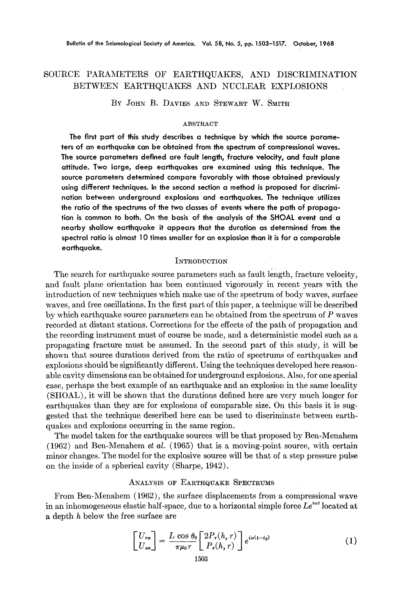# SOURCE PARAMETERS OF EARTHQUAKES, AND DISCRIMINATION BETWEEN EARTHQUAKES AND NUCLEAR EXPLOSIONS

BY JOHN B. DAVIES AND STEWART W. SMITH

#### ABSTRACT

**The first part of this study describes a technique by which the source parameters of an earthquake can be obtained from the spectrum of compressional waves. The source parameters defined are fault length, fracture velocity, and fault plane attitude. Two large, deep earthquakes are examined using this technique. The source parameters determined compare favorably with those obtained previously using different techniques. In the second section a method is proposed for discrimination between underground explosions and earthquakes. The technique utilizes the ratio of the spectrums of the two classes of events where the path of propagation is common to both. On the basis of the analysis of the SHOAL event and a nearby shallow earthquake it appears that the duration as determined from the spectral ratio is almost 10 times smaller for an explosion than it is for a comparable earthquake.** 

# **INTRODUCTION**

The search for earthquake source parameters such as fault length, fracture velocity, and fault plane orientation has been continued vigorously in recent years with the introduction of new techniques which make use of the spectrum of body waves, surface waves, and free oscillations. In the first part of this paper, a technique will be described by which earthquake source parameters can be obtained from the spectrum of  $P$  waves recorded at distant stations. Corrections for the effects of the path of propagation and the recording instrument must of course be made, and a deterministic model such as a propagating fracture must be assumed. In the second part of this study, it will be shown that source durations derived from the ratio of spectrums of earthquakes and explosions should be significantly different. Using the techniques developed here reasonable cavity dimensions can be obtained for underground explosions. Also, for one special case, perhaps the best example of an earthquake and an explosion in the same locality (SHOAL), it will be shown that the durations defined here are very much longer for earthquakes than they are for explosions of comparable size: On this basis it is suggested that the technique described here can be used to discriminate between earthquakes and explosions occurring in the same region.

The model taken for the earthquake sources will be that proposed by Ben-Menahem (1962) and Ben-Menahem *et al.* (1965) that is a moving-point source, with certain minor changes. The model for the explosive source will be that of a step pressure pulse on the inside of a spherical cavity (Sharpe, 1942).

### ANALYSIS OF EARTHQUAKE SPECTRUMS

From Ben-Menahem (1962), the surface displacements from a compressional wave in an inhomogeneous elastic half-space, due to a horizontal simple force  $Le^{i\omega t}$  located at a depth h below the free surface are

$$
\begin{bmatrix} U_{r\alpha} \\ U_{z\alpha} \end{bmatrix} = \frac{L \cos \theta_0}{\pi \mu_0 r} \begin{bmatrix} 2P_r(h,r) \\ P_z(h,r) \end{bmatrix} e^{i\omega(t-t_0)} \tag{1}
$$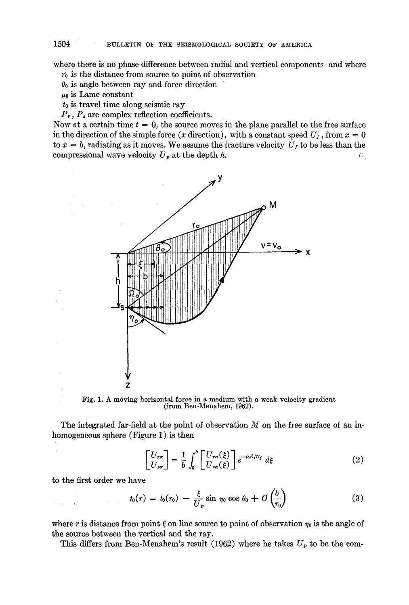where there is no phase difference between radial and vertical components and where  $r_0$  is the distance from source to point of observation

 $\theta_0$  is angle between ray and force direction

 $\mu_0$  is Lame constant

to is travel time along seismic ray

 $P_r$ ,  $P_s$  are complex reflection coefficients.

Now at a certain time  $t = 0$ , the source moves in the plane parallel to the free surface in the direction of the simple force (x direction), with a constant speed  $U_f$ , from  $x = 0$ to  $x = b$ , radiating as it moves. We assume the fracture velocity  $U_f$  to be less than the compressional wave velocity  $U_p$  at the depth h. c:



Fig. 1. & moving horizontal force in a medium with a weak velocity gradient (from Ben-Menahem, 1962).

The integrated far-field at the point of observation  $M$  on the free surface of an inhomogeneous sphere (Figure 1) is then

$$
\begin{bmatrix} U_{r\alpha} \\ U_{z\alpha} \end{bmatrix} = \frac{1}{b} \int_0^b \begin{bmatrix} U_{r\alpha}(\xi) \\ U_{z\alpha}(\xi) \end{bmatrix} e^{-i\omega\xi/\mathcal{U}_f} d\xi \tag{2}
$$

to the first order we have

$$
t_0(r) = t_0(r_0) - \frac{\xi}{U_p} \sin \eta_0 \cos \theta_0 + O\left(\frac{b}{r_0}\right)
$$
 (3)

where r is distance from point  $\xi$  on line source to point of observation  $\eta_0$  is the angle of the source between the vertical and the ray.

This differs from Ben-Menahem's result (1962) where he takes  $U_p$  to be the com-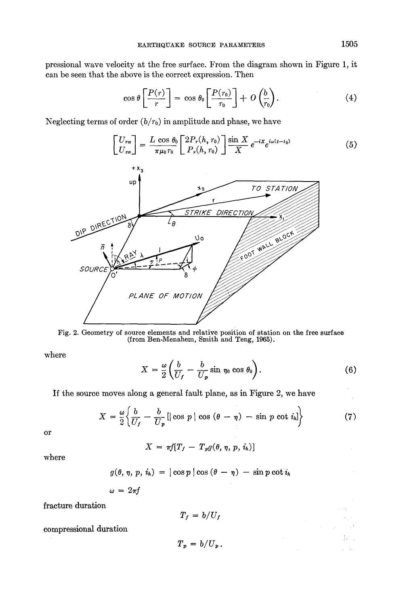pressional wave velocity at the free surface. From the diagram shown in Figure 1, it can be seen that the above is the correct expression. Then

$$
\cos \theta \left[ \frac{P(r)}{r} \right] = \cos \theta_0 \left[ \frac{P(r_0)}{r_0} \right] + O\left(\frac{b}{r_0}\right). \tag{4}
$$

Neglecting terms of order  $(b/r_0)$  in amplitude and phase, we have

$$
\begin{bmatrix}\nU_{r\alpha} \\
U_{z\alpha}\n\end{bmatrix} = \frac{L \cos \theta_0}{\pi \mu_0 r_0} \begin{bmatrix}\n2P_r(h, r_0) \\
P_z(h, r_0)\n\end{bmatrix} \frac{\sin X}{X} e^{-iX} e^{i\omega(t - t_0)}\n\tag{5}
$$



Fig. 2. Geometry of source elements and relative position of station on the free surface (from Ben-Menahem, Smith and Teng, 1965).

where

$$
X = \frac{\omega}{2} \left( \frac{b}{U_f} - \frac{b}{U_p} \sin \eta_0 \cos \theta_0 \right).
$$
 (6)

If the source moves along a general fault plane, as in Figure *2,* we have

$$
X = \frac{\omega}{2} \left\{ \frac{b}{U_f} - \frac{b}{U_p} \left[ |\cos p| \cos (\theta - \eta) - \sin p \cot i_{h} \right] \right\}
$$
 (7)

or

$$
X = \pi f[T_f - T_p g(\theta, \eta, p, i_h)]
$$

where

$$
g(\theta, \eta, p, i_h) = |\cos p| \cos (\theta - \eta) - \sin p \cot i_h
$$

$$
\omega = 2\pi f
$$

fracture duration

$$
T_f = b/U_f
$$

compressional duration

$$
T_p = b/U_p.
$$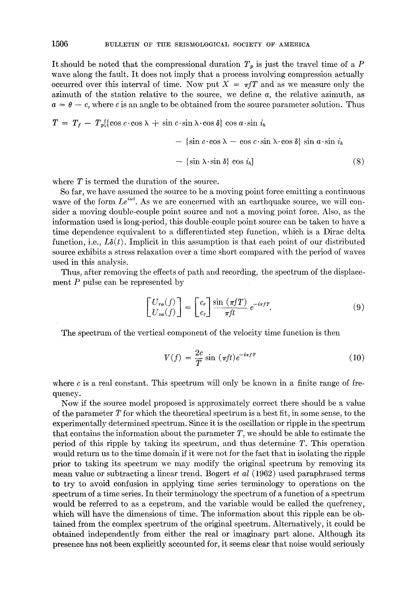It should be noted that the compressional duration  $T_p$  is just the travel time of a P wave along the fault. It does not imply that a process involving compression actually occurred over this interval of time. Now put  $X = \pi fT$  and as we measure only the azimuth of the station relative to the source, we define *a,* the relative azimuth, as  $a = \theta - c$ , where c is an angle to be obtained from the source parameter solution. Thus

$$
T = T_f - T_p[\{\cos c \cdot \cos \lambda + \sin c \cdot \sin \lambda \cdot \cos \delta\} \cos a \cdot \sin i_h
$$

$$
- \{\sin c \cdot \cos \lambda - \cos c \cdot \sin \lambda \cdot \cos \delta\} \sin a \cdot \sin i_h
$$

$$
- \{\sin \lambda \cdot \sin \delta\} \cos i_h]
$$
(8)

where  $T$  is termed the duration of the source.

So far, we have assumed the source to be a moving point force emitting a continuous wave of the form  $Le^{i\omega t}$ . As we are concerned with an earthquake source, we will consider a moving double-couple point source and not a moving point force. Also, as the information used is long-period, this double-couple point source can be taken to have a time dependence equivalent to a differentiated step function, which is a Dirac delta function, i.e.,  $L\delta(t)$ . Implicit in this assumption is that each point of our distributed source exhibits a stress relaxation over a time short compared with the period of waves used in this analysis.

Thus, after removing the effects of path and recording, the spectrum of the displacement  $P$  pulse can be represented by

$$
\begin{bmatrix} U_{r\alpha}(f) \\ U_{z\alpha}(f) \end{bmatrix} = \begin{bmatrix} c_r \\ c_z \end{bmatrix} \frac{\sin(\pi fT)}{\pi ft} e^{-i\pi fT}.
$$
 (9)

The spectrum of the vertical component of the velocity time function is then

$$
V(f) = \frac{2c}{T} \sin \left(\pi f t\right) e^{-i\pi f T} \tag{10}
$$

where  $c$  is a real constant. This spectrum will only be known in a finite range of frequency.

Now if the source model proposed is approximately correct there should be a value of the parameter  $T$  for which the theoretical spectrum is a best fit, in some sense, to the experimentally determined spectrum. Since it is the oscillation or ripple in the spectrum that contains the information about the parameter  $T$ , we should be able to estimate the period of this ripple by taking its spectrum, and thus determine T. This operation would return us to the time domain if it were not for the fact that in isolating the ripple prior to taking its spectrum we may modify the original spectrum by removing its mean value or subtracting a linear trend. Bogert et *al* (1962) used paraphrased terms to try to avoid confusion in applying time series terminology to operations on the spectrum of a time series. In their terminology the spectrum of a function of a spectrum would be referred to as a eepstrum, and the variable would be called the quefrency, which will have the dimensions of time. The information about this ripple can be obtained from the complex spectrum of the original spectrum. Alternatively, it could be obtained independently from either the real or imaginary part alone. Although its presence has not been explicitly accounted for, it seems dear that noise would seriously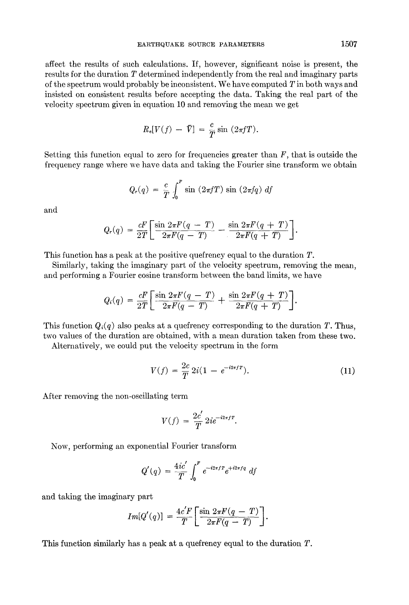affect the results of such calculations. If, however, significant noise is present, the results for the duration T determined independently from the real and imaginary parts of the spectrum would probably be inconsistent. We have computed T in both ways and insisted on consistent results before accepting the data. Taking the real part of the velocity spectrum given in equation 10 and removing the mean we get

$$
R_e[V(f) - \bar{V}] = \frac{c}{T} \sin (2\pi fT).
$$

Setting this function equal to zero for frequencies greater than  $F$ , that is outside the frequency range where we have data and taking the Fourier sine transform we obtain

$$
Q_r(q) = \frac{c}{T} \int_0^r \sin(2\pi f T) \sin(2\pi f q) df
$$

and

$$
Q_r(q) = \frac{cF}{2T} \left[ \frac{\sin 2\pi F(q-T)}{2\pi F(q-T)} - \frac{\sin 2\pi F(q+T)}{2\pi F(q+T)} \right].
$$

This function has a peak at the positive quefrency equal to the duration T.

Similarly, taking the imaginary part of the velocity spectrum, removing the mean, and performing a Fourier cosine transform between the band limits, we have

$$
Q_i(q) = \frac{cF}{2T} \left[ \frac{\sin 2\pi F(q-T)}{2\pi F(q-T)} + \frac{\sin 2\pi F(q+T)}{2\pi F(q+T)} \right].
$$

This function  $Q_i(q)$  also peaks at a quefrency corresponding to the duration T. Thus, two values of the duration are obtained, with a mean duration taken from these two.

Alternatively, we could put the velocity spectrum in the form

$$
V(f) = \frac{2c}{T} 2i(1 - e^{-i2\pi fT}).
$$
\n(11)

After removing the non-oscillating term

$$
V(f) = \frac{2c'}{T} 2i e^{-i2\pi fT}.
$$

Now, performing an exponential Fourier transform

$$
Q'(q) = \frac{4ic'}{T} \int_0^r e^{-i2\pi f T} e^{+i2\pi f q} df
$$

and taking the imaginary part

$$
Im[Q'(q)] = \frac{4c'F}{T} \left[ \frac{\sin 2\pi F(q-T)}{2\pi F(q-T)} \right].
$$

This function similarly has a peak at a quefrency equal to the duration T.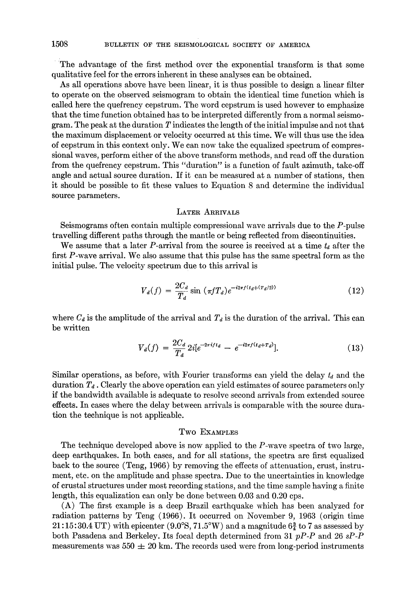The advantage of the first method over the exponential transform is that some qualitative feel for the errors inherent in these analyses can be obtained.

As all operations above have been linear, it is thus possible to design a linear filter to operate on the observed seismogram to obtain the identical time function which is called here the quefrency cepstrum. The word cepstrum is used however to emphasize that the time function obtained has to be interpreted differently from a normal seismogram. The peak at the duration  $T$  indicates the length of the initial impulse and not that the maximum displacement or velocity occurred at this time. We will thus use the idea of cepstrum in this context only. We can now take the equalized spectrum of compressional waves, perform either of the above transform methods, and read off the duration from the quefrency cepstrum. This "duration" is a function of fault azimuth, take-off angle and actual source duration. If it can be measured at a number of stations, then it should be possible to fit these values to Equation 8 and determine the individual source parameters.

### LATER ARRIVALS

Seismograms often contain multiple compressional wave arrivals due to the P-pulse travelling different paths through the mantle or being reflected from discontinuities.

We assume that a later P-arrival from the source is received at a time  $t_d$  after the first P-wave arrival. We also assume that this pulse has the same spectral form as the initial pulse. The velocity spectrum due to this arrival is

$$
V_d(f) = \frac{2C_d}{T_d} \sin \left( \pi f T_d \right) e^{-i2\pi f (t_d + (T_d/2))}
$$
\n(12)

where  $C_d$  is the amplitude of the arrival and  $T_d$  is the duration of the arrival. This can be written

$$
V_d(f) = \frac{2C_d}{T_d} 2i[e^{-2\pi i ft_d} - e^{-i2\pi f (t_d + T_d)}].
$$
 (13)

Similar operations, as before, with Fourier transforms can yield the delay  $t_a$  and the duration  $T<sub>d</sub>$ . Clearly the above operation can yield estimates of source parameters only if the bandwidth available is adequate to resolve second arrivals from extended source effects. In cases where the delay between arrivals is comparable with the source duration the technique is not applicable.

## Two EXaMPLeS

The technique developed above is now applied to the  $P$ -wave spectra of two large, deep earthquakes. In both cases, and for all stations, the spectra are first equalized back to the source (Teng, 1966) by removing the effects of attenuation, crust, instrument, etc. on the amplitude and phase spectra. Due to the uncertainties in knowledge of crustal structures under most recording stations, and the time sample having a finite length, this equalization can only be done between 0.03 and 0.20 cps.

(A) The first example is a deep Brazil earthquake which has been analyzed for radiation patterns by Teng (1966). It occurred on November 9, 1963 (origin time  $21:15:30.4$  UT) with epicenter (9.0°S, 71.5°W) and a magnitude 6 $\frac{3}{4}$  to 7 as assessed by both Pasadena and Berkeley. Its focal depth determined from 31 *pP-P* and 26 *sP-P*  measurements was  $550 \pm 20$  km. The records used were from long-period instruments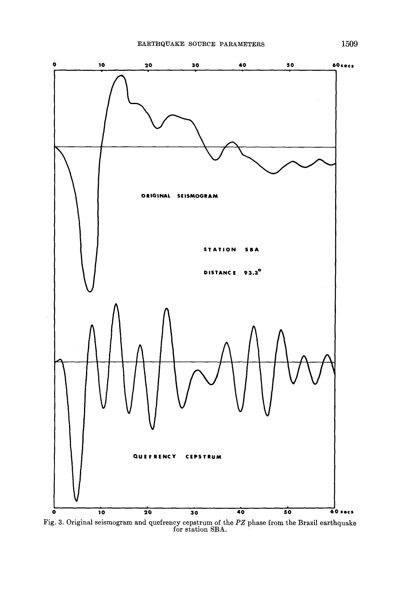

Fig. 3. Original seismogram and quefrency cepstrum of the *PZ* phase from the Brazil earthquake for station SBA.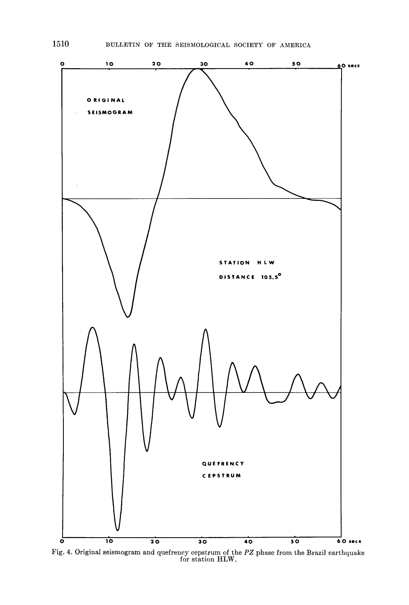

Fig. 4. Original seismogram and quefrency cepstrum of the *PZ* phase from the Brazil earthquake for station HLW.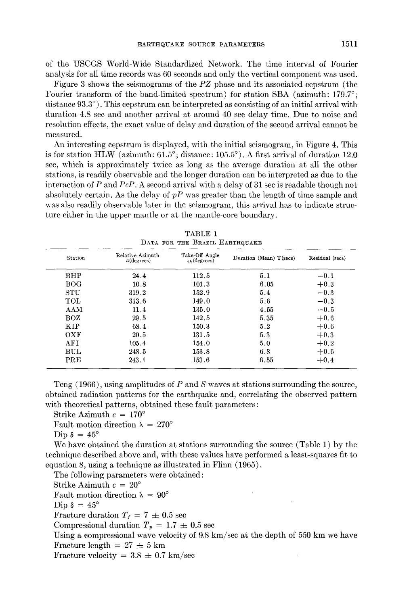of the USCGS World-Wide Standardized Network. The time interval of Fourier analysis for all time records was 60 seconds and only the vertical component was used.

Figure 3 shows the seismograms of the *PZ* phase and its associated cepstrum (the Fourier transform of the band-limited spectrum) for station SBA (azimuth: 179.7°; distance 93.3°). This cepstrum can be interpreted as consisting of an initial arrival with duration 4.8 sec and another arrival at around 40 see delay time. Due to noise and resolution effects, the exact value of delay and duration of the second arrival cannot be measured.

An interesting cepstrum is displayed, with the initial seismogram, in Figure 4. This is for station HLW (azimuth:  $61.5^{\circ}$ ; distance:  $105.5^{\circ}$ ). A first arrival of duration 12.0 sec, which is approximately twice as long as the average duration at all the other stations, is readily observable and the longer duration can be interpreted as due to the interaction of P and *PcP.* A second arrival with a delay of 31 sec is readable though not absolutely certain. As the delay of *pP* was greater than the length of time sample and was also readily observable later in the seismogram, this arrival has to indicate structure either in the upper mantle or at the mantle-core boundary.

| Station      | Relative Azimuth<br>$a$ (degrees) | Take-Off Angle<br>$ih$ (degrees) | Duration (Mean) T(secs) | Residual (secs) |
|--------------|-----------------------------------|----------------------------------|-------------------------|-----------------|
| BHP          | 24.4                              | 112.5                            | 5.1                     | $-0.1$          |
| <b>BOG</b>   | 10.8                              | 101.3                            | 6.05                    | $+0.3$          |
| <b>STU</b>   | 319.2                             | 152.9                            | 5.4                     | $-0.3$          |
| TOL          | 313.6                             | 149.0                            | 5.6                     | $-0.3$          |
| AAM          | 11.4                              | 135.0                            | 4.55                    | $-0.5$          |
| $_{\rm BOZ}$ | 29.5                              | 142.5                            | 5.35                    | $+0.6$          |
| <b>KIP</b>   | 68.4                              | 150.3                            | 5.2                     | $+0.6$          |
| OXF          | 20.5                              | 131.5                            | 5.3                     | $+0.3$          |
| AFI          | 105.4                             | 154.0                            | 5.0                     | $+0.2$          |
| <b>BUL</b>   | 248.5                             | 153.8                            | 6.8                     | $+0.6$          |
| PRE          | 243.1                             | 153.6                            | 6.55                    | $+0.4$          |

TABLE **1**   $\mathbf{D}_{\text{D}}$ 

Teng  $(1966)$ , using amplitudes of P and S waves at stations surrounding the source, obtained radiation patterns for the earthquake and, correlating the observed pattern with theoretical patterns, obtained these fault parameters:

Strike Azimuth  $c = 170^\circ$ 

Fault motion direction  $\lambda = 270^{\circ}$ 

Dip  $\delta = 45^\circ$ 

We have obtained the duration at stations surrounding the source (Table 1) by the technique described above and, with these values have performed a least-squares fit to equation 8, using a technique as illustrated in Flinn (1965).

The following parameters were obtained: Strike Azimuth  $c = 20^{\circ}$ 

Fault motion direction  $\lambda = 90^{\circ}$ 

Dip  $\delta = 45^\circ$ 

Fracture duration  $T_f = 7 \pm 0.5$  sec

Compressional duration  $T_p = 1.7 \pm 0.5$  sec

Using a compressional wave velocity of 9.8 km/sec at the depth of 550 km we have Fracture length  $= 27 \pm 5$  km

Fracture velocity =  $3.8 \pm 0.7$  km/sec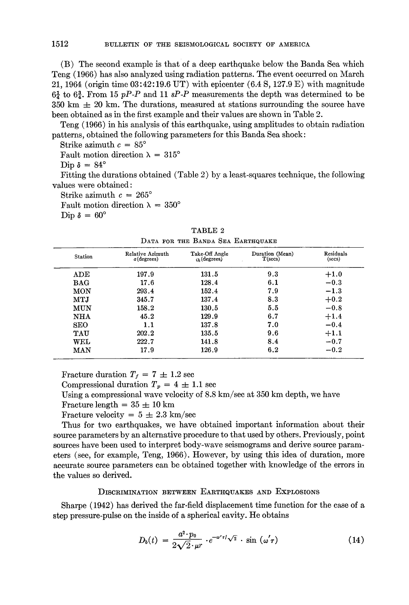(B) The second example is that of a deep earthquake below the Banda Sea which Teng (1966) has also analyzed using radiation patterns. The event occurred on March 21, 1964 (origin time 03:42:19.6 UT) with epicenter (6.4 S, 127.9 E) with magnitude  $6\frac{1}{4}$  to  $6\frac{3}{4}$ . From 15 *pP-P* and 11 *sP-P* measurements the depth was determined to be  $350 \text{ km } \pm 20 \text{ km}$ . The durations, measured at stations surrounding the source have been obtained as in the first example and their values are shown in Table 2.

Teng (1966) in his analysis of this earthquake, using amplitudes to obtain radiation patterns, obtained the following parameters for this Banda Sea shock:

Strike azimuth  $c = 85^\circ$ Fault motion direction  $\lambda = 315^\circ$ 

Dip  $\delta = 84^\circ$ 

Fitting the durations obtained (Table 2) by a least-squares technique, the following values were obtained:

Strike azimuth  $c = 265^\circ$ 

Fault motion direction  $\lambda = 350^{\circ}$ 

Dip  $\delta = 60^\circ$ 

| <b>Station</b>       | Relative Azimuth<br>$a$ (degrees) | Take-Off Angle<br>$ih$ (degrees) | Duration (Mean)<br>$T$ (secs) | Residuals<br>(secs) |  |  |  |
|----------------------|-----------------------------------|----------------------------------|-------------------------------|---------------------|--|--|--|
| $\operatorname{ADE}$ | 197.9                             | 131.5                            | 9.3                           | $+1.0$              |  |  |  |
| $_{\rm BAG}$         | 17.6                              | 128.4                            | 6.1                           | $-0.3$              |  |  |  |
| MON                  | 293.4                             | 152.4                            | 7.9                           | $-1.3$              |  |  |  |
| MTJ                  | 345.7                             | 137.4                            | 8.3                           | $+0.2$              |  |  |  |
| MUN                  | 158.2                             | 130.5                            | 5.5                           | $-0.8$              |  |  |  |
| <b>NHA</b>           | 45.2                              | 129.9                            | 6.7                           | $+1.4$              |  |  |  |
| <b>SEO</b>           | 1.1                               | 137.8                            | 7.0                           | $-0.4$              |  |  |  |
| TAU                  | 202.2                             | 135.5                            | 9.6                           | $+1.1$              |  |  |  |
| WEL                  | 222.7                             | 141.8                            | 8.4                           | $-0.7$              |  |  |  |
| MAN                  | 17.9                              | 126.9                            | 6.2                           | $-0.2$              |  |  |  |

TABLE 2 DATA FOR THE BANDA SEA EARTHQUAKE

Fracture duration  $T_f = 7 \pm 1.2$  sec

Compressional duration  $T_p = 4 \pm 1.1$  sec

Using a compressional wave velocity of 8.8 km/sec at 350 km depth, we have

Fracture length  $= 35 \pm 10$  km

Fracture velocity =  $5 \pm 2.3$  km/sec

Thus for two earthquakes, we have obtained important information about their source parameters by an alternative procedure to that used by others. Previously, point sources have been used to interpret body-wave seismograms and derive source parameters (see, for example, Teng, 1966). However, by using this idea of duration, more accurate source parameters can be obtained together with knowledge of the errors in the values so derived.

# DISCRIMINATION BETWEEN EARTHQUAKES AND EXPLOSIONS

Sharpe (1942) has derived the far-field displacement time function for the case of a step pressure-pulse on the inside of a spherical cavity. He obtains

$$
D_b(t) = \frac{a^2 \cdot p_0}{2\sqrt{2} \cdot \mu r} \cdot e^{-\omega' \tau/\sqrt{2}} \cdot \sin(\omega' \tau)
$$
 (14)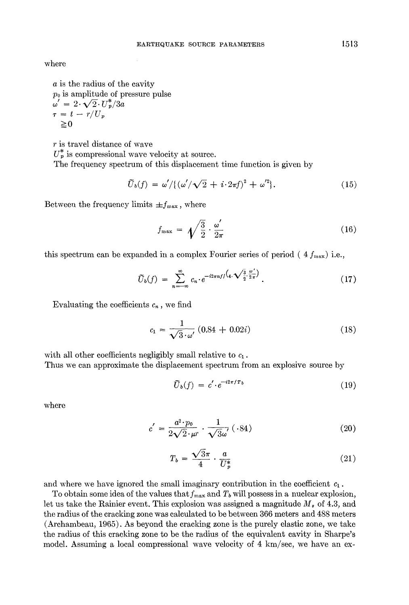where

a is the radius of the cavity  $p_0$  is amplitude of pressure pulse  $\omega' = 2 \cdot \sqrt{2} \cdot U_p^2 / 3a$  $\tau = t - r/U_p$ *>=0* 

r is travel distance of wave  $U_p^*$  is compressional wave velocity at source. The frequency spectrum of this displacement time function is given by

$$
\widetilde{U}_b(f) = \omega'/\{(\omega'/\sqrt{2} + i \cdot 2\pi f)^2 + \omega'^2\}.
$$
\n(15)

Between the frequency limits  $\pm f_{\text{max}}$ , where

$$
f_{\max} = \sqrt{\frac{3}{2}} \cdot \frac{\omega'}{2\pi} \tag{16}
$$

this spectrum can be expanded in a complex Fourier series of period ( $4 f_{\text{max}}$ ) i.e.,

$$
\widetilde{U}_b(f) = \sum_{n=-\infty}^{\infty} c_n \cdot e^{-i2\pi n f/\left(4 \cdot \sqrt{\frac{3}{2}} \cdot \frac{\omega'}{2\pi}\right)}.
$$
\n(17)

Evaluating the coefficients  $c_n$ , we find

$$
c_1 = \frac{1}{\sqrt{3} \cdot \omega'} (0.84 + 0.02i)
$$
 (18)

with all other coefficients negligibly small relative to  $c_1$ . Thus we can approximate the displacement spectrum from an explosive source by

$$
\tilde{U}_b(f) = c' \cdot e^{-i2\pi f T_b} \tag{19}
$$

where

$$
c' = \frac{a^2 \cdot p_0}{2\sqrt{2} \cdot \mu r} \cdot \frac{1}{\sqrt{3}\omega'} \left( .84 \right) \tag{20}
$$

$$
T_b = \frac{\sqrt{3}\pi}{4} \cdot \frac{a}{U_p^*} \tag{21}
$$

and where we have ignored the small imaginary contribution in the coefficient  $c_1$ .

To obtain some idea of the values that  $f_{\text{max}}$  and  $T_b$  will possess in a nuclear explosion, let us take the Rainier event. This explosion was assigned a magnitude  $M_*$  of 4.3, and the radius of the cracking zone was calculated to be between 366 meters and 488 meters (Archambeau, 1965). As beyond the cracking zone is the purely elastic zone, we take the radius of this cracking zone to be the radius of the equivalent cavity in Sharpe's model. Assuming a local compressional wave velocity of 4 km/sec, we have an ex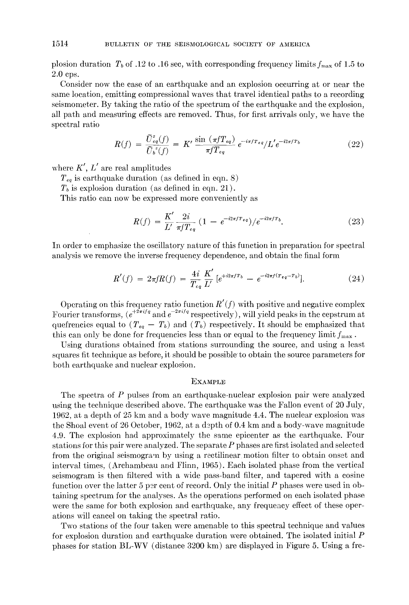plosion duration  $T_b$  of .12 to .16 see, with corresponding frequency limits  $f_{\text{max}}$  of 1.5 to 2.0 eps.

Consider now the ease of an earthquake and an explosion occurring at or near the same location, emitting eompressional waves that travel identical paths to a recording seismometer. By taking the ratio of the spectrum of the earthquake and the explosion, all path and measuring effects are removed. Thus, for first arrivals only, we have the spectral ratio

$$
R(f) = \frac{\tilde{U}_{eq}^z(f)}{\tilde{U}_b^z(f)} = K' \frac{\sin (\pi f T_{eq})}{\pi f T_{eq}} e^{-i\pi f T_{eq}} / L' e^{-i2\pi f T_b}
$$
(22)

where  $K', L'$  are real amplitudes

 $T_{eq}$  is earthquake duration (as defined in eqn. 8)

 $T<sub>b</sub>$  is explosion duration (as defined in eqn. 21).

This ratio can now be expressed more conveniently as

$$
R(f) = \frac{K'}{L'} \frac{2i}{\pi f T_{eq}} \left( 1 - e^{-i2\pi f T_{eq}} \right) / e^{-i2\pi f T_b}.
$$
 (23)

In order to emphasize the oscillatory nature of this function in preparation for spectral analysis we remove the inverse frequency dependence, and obtain the final form

$$
R'(f) = 2\pi f R(f) = \frac{4i}{T_{eq}} \frac{K'}{L'} \left[ e^{+i2\pi f T_b} - e^{-i2\pi f (T_{eq} - T_b)} \right]. \tag{24}
$$

Operating on this frequency ratio function *R'(f)* with positive and negative complex Fourier transforms,  $(e^{+2\pi i/\bar{q}} \text{ and } e^{-2\pi i/\bar{q}} \text{ respectively})$ , will yield peaks in the cepstrum at quefrencies equal to  $(T_{eq} - T_b)$  and  $(T_b)$  respectively. It should be emphasized that this can only be done for frequencies less than or equal to the frequency limit  $f_{\text{max}}$ .

Using durations obtained from stations surrounding the source, and using a least squares fit technique as before, it should be possible to obtain the source parameters for both earthquake and nuclear explosion.

### EXAMPLE

The spectra of P pulses from an earthquake-nuclear explosion pair were analyzed using the technique described above. The earthquake was the Fallon event of 20 July, 1962, at a depth of 25 km and a body wave magnitude 4.4. The nuclear explosion was the Shoal event of 26 October, 1962, at a depth of 0.4 km and a body-wave magnitude 4.9. The explosion had approximately the same epicenter as the earthquake. Four stations for this pair were analyzed. The separate P phases are first isolated and selected from the original seismogram by using a rectilinear motion filter to obtain onset and interval times, (Archambeau and Flinn, 1965). Each isolated phase from the vertical seismogram is then filtered with a wide pass-band filter, and tapered with a cosine function over the latter 5 per cent of record. Only the initial  $P$  phases were used in obtaining spectrum for the analyses. As the operations performed on each isolated phase were the same for both explosion and earthquake, any frequency effect of these operations will cancel on taking the spectral ratio.

Two stations of the four taken were amenable to this spectral technique and values for explosion duration and earthquake duration were obtained. The isolated initial P phases for station BL-WV (distance 3200 km) are displayed in Figure 5. Using a fre-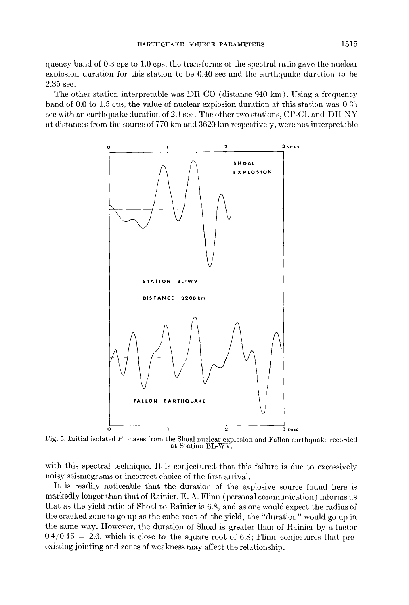quency band of 0.3 cps to 1.0 cps, the transforms of the spectral ratio gave the nuclear explosion duration for this station to be 0.40 sec and the earthquake duration to be 2.35 sec.

The other station interpretable was DR-CO (distance  $940 \text{ km}$ ). Using a frequency band of 0.0 to 1.5 cps, the value of nuclear explosion duration at this station was 0 35 sec with an earthquake duration of  $2.4$  sec. The other two stations, CP-CL and DH-NY at distances from the source of 770 km and 3620 km respectively, were not interpretable



Fig. 5. Initial isolated P phases from the Shoal nuclear explosion and Fallon earthquake recorded at Station BL-WV.

with this spectral technique. It is conjectured that this failure is due to excessively noisy seismograms or incorrect choice of the first arrival.

It is readily noticeable that the duration of the explosive source found here is markedly longer than that of Rainier. E. A. Flinn (personal communication) informs us that as the yield ratio of Shoal to Rainier is 6.8, and as one would expect the radius of the cracked zone to go up as the cube root of the yield, the "duration" would go up in the same way. However, the duration of Shoal is greater than of Rainier by a factor  $0.4/0.15 = 2.6$ , which is close to the square root of 6.8; Flinn conjectures that preexisting jointing and zones of weakness may affect the relationship.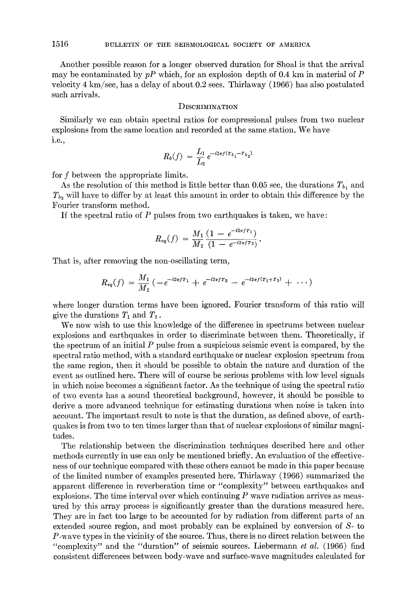Another possible reason for a longer observed duration for Shoal is that the arrival may be contaminated by  $pP$  which, for an explosion depth of 0.4 km in material of  $P$ velocity 4 km/see, has a delay of about 0.2 sees. Thirlaway (1966) has also postulated such arrivals.

### DISCRIMINATION

Similarly we can obtain spectral ratios for compressional pulses from two nuclear explosions from the same location and recorded at the same station. We have i.e.,

$$
R_b(f) = \frac{L_1}{L_2} e^{-i2\pi f (T_{b_1} - T_{b_2})}
$$

for f between the appropriate limits.

As the resolution of this method is little better than 0.05 sec, the durations  $T_{b_1}$  and  $T_{b_2}$  will have to differ by at least this amount in order to obtain this difference by the Fourier transform method.

If the spectral ratio of P pulses from two earthquakes is taken, we have:

$$
R_{eq}(f) = \frac{M_1}{M_2} \frac{(1 - e^{-i2\pi f T_1})}{(1 - e^{-i2\pi f T_2})}.
$$

That is, after removing the non-oscillating term,

$$
R_{eq}(f) = \frac{M_1}{M_2} \left( -e^{-i2\pi f T_1} + e^{-i2\pi f T_2} - e^{-i2\pi f (T_1 + T_2)} + \cdots \right)
$$

where longer duration terms have been ignored. Fourier transform of this ratio will give the durations  $T_1$  and  $T_2$ .

We now wish to use this knowledge of the difference in spectrums between nuclear explosions and earthquakes in order to discriminate between them. Theoretically, if the spectrum of an initial  $P$  pulse from a suspicious seismic event is compared, by the spectral ratio method, with a standard earthquake or nuclear explosion spectrum from the same region, then it should be possible to obtain the nature and duration of the event as outlined here. There will of course be serious problems with low level signals in which noise becomes a significant factor. As the technique of using the spectral ratio of two events has a sound theoretical background, however, it should be possible to derive a more advanced technique for estimating durations when noise is taken into account. The important result to note is that the duration, as defined above, of earthquakes is from two to ten times larger than that of nuclear explosions of similar magnitudes.

The relationship between the discrimination techniques described here and other methods currently in use can only be mentioned briefly. An evaluation of the effectiveness of our technique compared with these others cannot be made in this paper because of the limited number of examples presented here. Thirlaway (1966) summarized the apparent difference in reverberation time or "complexity" between earthquakes and explosions. The time interval over which continuing  $P$  wave radiation arrives as measured by this array process is significantly greater than the durations measured here. They are in fact too large to be accounted for by radiation from different parts of an extended source region, and most probably can be explained by conversion of S- to P-wave types in the vicinity of the source. Thus, there is no direct relation between the "complexity" and the "duration" of seismic sources. Liebermann *et al.* (1966) find consistent differences between body-wave and surface-wave magnitudes calculated for